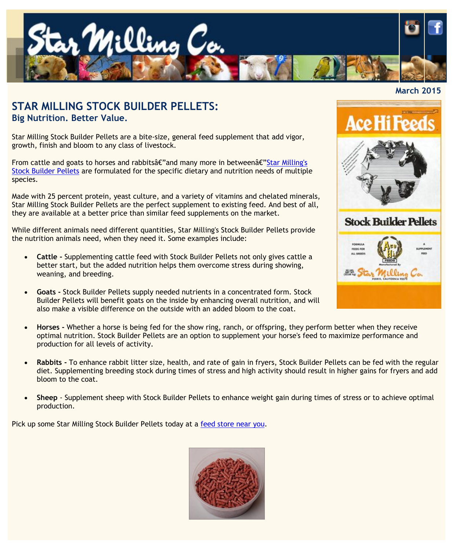

## **STAR MILLING STOCK BUILDER PELLETS: Big Nutrition. Better Value.**

Star Milling Stock Builder Pellets are a bite-size, general feed supplement that add vigor, growth, finish and bloom to any class of livestock.

From cattle and goats to horses and rabbits $\hat{\mathfrak{a}}\in\mathfrak{a}$  many more in between $\hat{\mathfrak{a}}\in\mathfrak{a}$  Milling's [Stock Builder Pellets](http://www.starmilling.com/Products/Equine%20Products/Star%20Stock%20Builder%20Pellets.pdf) are formulated for the specific dietary and nutrition needs of multiple species.

Made with 25 percent protein, yeast culture, and a variety of vitamins and chelated minerals, Star Milling Stock Builder Pellets are the perfect supplement to existing feed. And best of all, they are available at a better price than similar feed supplements on the market.

While different animals need different quantities, Star Milling's Stock Builder Pellets provide the nutrition animals need, when they need it. Some examples include:

- **Cattle -** Supplementing cattle feed with Stock Builder Pellets not only gives cattle a better start, but the added nutrition helps them overcome stress during showing, weaning, and breeding.
- **Goats -** Stock Builder Pellets supply needed nutrients in a concentrated form. Stock Builder Pellets will benefit goats on the inside by enhancing overall nutrition, and will also make a visible difference on the outside with an added bloom to the coat.
- **Horses -** Whether a horse is being fed for the show ring, ranch, or offspring, they perform better when they receive optimal nutrition. Stock Builder Pellets are an option to supplement your horse's feed to maximize performance and production for all levels of activity.
- **Rabbits -** To enhance rabbit litter size, health, and rate of gain in fryers, Stock Builder Pellets can be fed with the regular diet. Supplementing breeding stock during times of stress and high activity should result in higher gains for fryers and add bloom to the coat.
- **Sheep**  Supplement sheep with Stock Builder Pellets to enhance weight gain during times of stress or to achieve optimal production.

Pick up some Star Milling Stock Builder Pellets today at a [feed store near you.](http://www.starmilling.com/dealer.php)



## **March 2015**